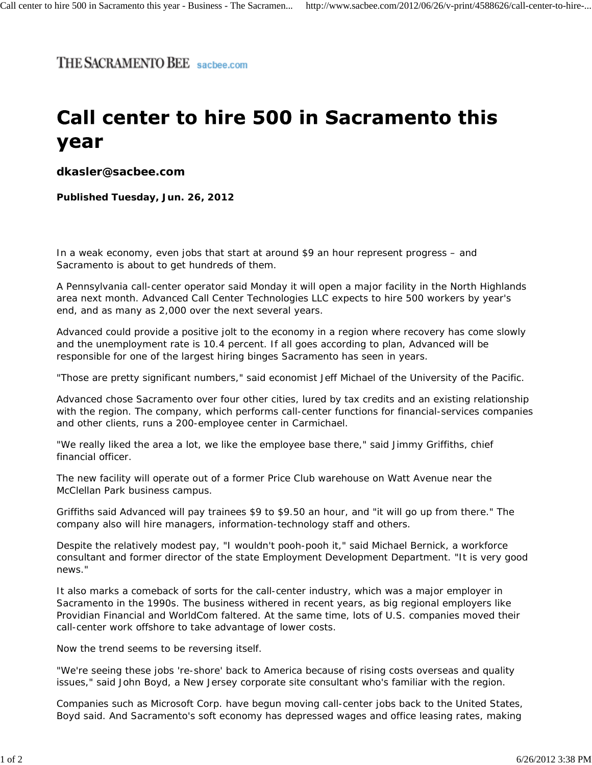THE SACRAMENTO BEE sacbee.com

## Call center to hire 500 in Sacramento this year

**dkasler@sacbee.com**

**Published Tuesday, Jun. 26, 2012**

In a weak economy, even jobs that start at around \$9 an hour represent progress – and Sacramento is about to get hundreds of them.

A Pennsylvania call-center operator said Monday it will open a major facility in the North Highlands area next month. Advanced Call Center Technologies LLC expects to hire 500 workers by year's end, and as many as 2,000 over the next several years.

Advanced could provide a positive jolt to the economy in a region where recovery has come slowly and the unemployment rate is 10.4 percent. If all goes according to plan, Advanced will be responsible for one of the largest hiring binges Sacramento has seen in years.

"Those are pretty significant numbers," said economist Jeff Michael of the University of the Pacific.

Advanced chose Sacramento over four other cities, lured by tax credits and an existing relationship with the region. The company, which performs call-center functions for financial-services companies and other clients, runs a 200-employee center in Carmichael.

"We really liked the area a lot, we like the employee base there," said Jimmy Griffiths, chief financial officer.

The new facility will operate out of a former Price Club warehouse on Watt Avenue near the McClellan Park business campus.

Griffiths said Advanced will pay trainees \$9 to \$9.50 an hour, and "it will go up from there." The company also will hire managers, information-technology staff and others.

Despite the relatively modest pay, "I wouldn't pooh-pooh it," said Michael Bernick, a workforce consultant and former director of the state Employment Development Department. "It is very good news."

It also marks a comeback of sorts for the call-center industry, which was a major employer in Sacramento in the 1990s. The business withered in recent years, as big regional employers like Providian Financial and WorldCom faltered. At the same time, lots of U.S. companies moved their call-center work offshore to take advantage of lower costs.

Now the trend seems to be reversing itself.

"We're seeing these jobs 're-shore' back to America because of rising costs overseas and quality issues," said John Boyd, a New Jersey corporate site consultant who's familiar with the region.

Companies such as Microsoft Corp. have begun moving call-center jobs back to the United States, Boyd said. And Sacramento's soft economy has depressed wages and office leasing rates, making